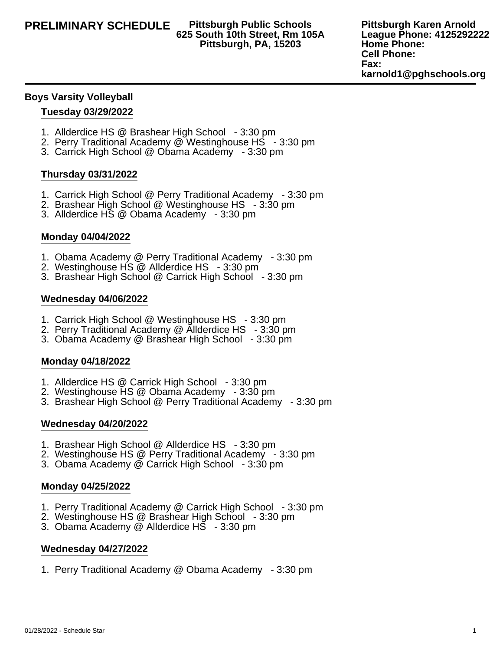# **625 South 10th Street, Rm 105A Pittsburgh, PA, 15203**

**Pittsburgh Karen Arnold League Phone: 4125292222 Home Phone: Cell Phone: Fax: karnold1@pghschools.org**

### **Boys Varsity Volleyball**

### **Tuesday 03/29/2022**

- 1. Allderdice HS @ Brashear High School 3:30 pm
- 2. Perry Traditional Academy @ Westinghouse HS 3:30 pm
- 3. Carrick High School @ Obama Academy 3:30 pm

## **Thursday 03/31/2022**

- 1. Carrick High School @ Perry Traditional Academy 3:30 pm
- 2. Brashear High School @ Westinghouse HS 3:30 pm
- 3. Allderdice HS @ Obama Academy 3:30 pm

## **Monday 04/04/2022**

- 1. Obama Academy @ Perry Traditional Academy 3:30 pm
- 2. Westinghouse HS @ Allderdice HS 3:30 pm
- 3. Brashear High School @ Carrick High School 3:30 pm

#### **Wednesday 04/06/2022**

- 1. Carrick High School @ Westinghouse HS 3:30 pm
- 2. Perry Traditional Academy @ Allderdice HS 3:30 pm
- 3. Obama Academy @ Brashear High School 3:30 pm

#### **Monday 04/18/2022**

- 1. Allderdice HS @ Carrick High School 3:30 pm
- 2. Westinghouse HS @ Obama Academy 3:30 pm
- 3. Brashear High School @ Perry Traditional Academy 3:30 pm

#### **Wednesday 04/20/2022**

- 1. Brashear High School @ Allderdice HS 3:30 pm
- 2. Westinghouse HS @ Perry Traditional Academy 3:30 pm
- 3. Obama Academy @ Carrick High School 3:30 pm

#### **Monday 04/25/2022**

- 1. Perry Traditional Academy @ Carrick High School 3:30 pm
- 2. Westinghouse HS @ Brashear High School 3:30 pm
- 3. Obama Academy @ Allderdice HS 3:30 pm

#### **Wednesday 04/27/2022**

1. Perry Traditional Academy @ Obama Academy - 3:30 pm